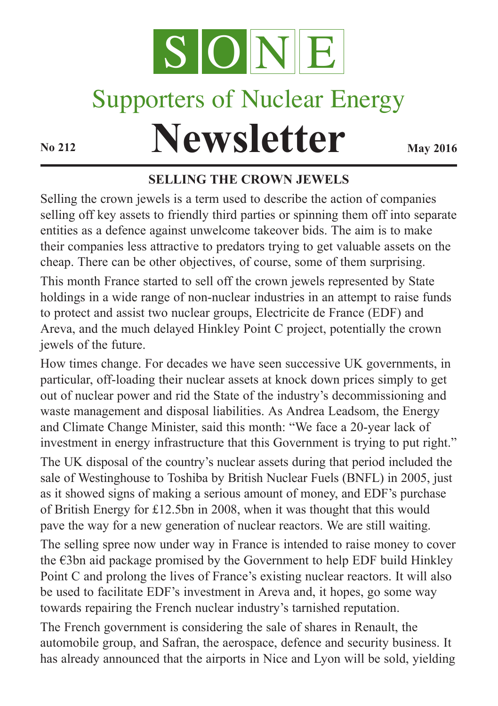

# Supporters of Nuclear Energy

# **Newsletter May** 2016

#### **SELLING THE CROWN JEWELS**

Selling the crown jewels is a term used to describe the action of companies selling off key assets to friendly third parties or spinning them off into separate entities as a defence against unwelcome takeover bids. The aim is to make their companies less attractive to predators trying to get valuable assets on the cheap. There can be other objectives, of course, some of them surprising. This month France started to sell off the crown jewels represented by State holdings in a wide range of non-nuclear industries in an attempt to raise funds to protect and assist two nuclear groups, Electricite de France (EDF) and Areva, and the much delayed Hinkley Point C project, potentially the crown jewels of the future.

How times change. For decades we have seen successive UK governments, in particular, off-loading their nuclear assets at knock down prices simply to get out of nuclear power and rid the State of the industry's decommissioning and waste management and disposal liabilities. As Andrea Leadsom, the Energy and Climate Change Minister, said this month: "We face a 20-year lack of investment in energy infrastructure that this Government is trying to put right." The UK disposal of the country's nuclear assets during that period included the sale of Westinghouse to Toshiba by British Nuclear Fuels (BNFL) in 2005, just as it showed signs of making a serious amount of money, and EDF's purchase of British Energy for £12.5bn in 2008, when it was thought that this would pave the way for a new generation of nuclear reactors. We are still waiting.

The selling spree now under way in France is intended to raise money to cover the €3bn aid package promised by the Government to help EDF build Hinkley Point C and prolong the lives of France's existing nuclear reactors. It will also be used to facilitate EDF's investment in Areva and, it hopes, go some way towards repairing the French nuclear industry's tarnished reputation.

The French government is considering the sale of shares in Renault, the automobile group, and Safran, the aerospace, defence and security business. It has already announced that the airports in Nice and Lyon will be sold, yielding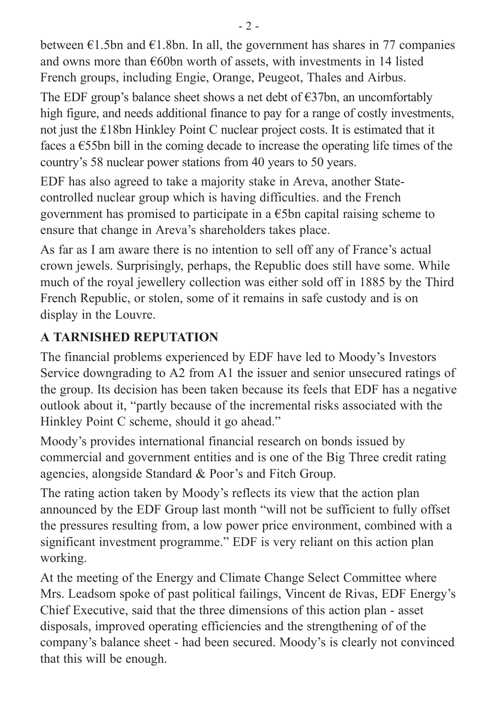between  $\epsilon$ 1.5bn and  $\epsilon$ 1.8bn. In all, the government has shares in 77 companies and owns more than €60bn worth of assets, with investments in 14 listed French groups, including Engie, Orange, Peugeot, Thales and Airbus.

The EDF group's balance sheet shows a net debt of  $\epsilon$ 37bn, an uncomfortably high figure, and needs additional finance to pay for a range of costly investments, not just the £18bn Hinkley Point C nuclear project costs. It is estimated that it faces a  $\epsilon$ 55bn bill in the coming decade to increase the operating life times of the country's 58 nuclear power stations from 40 years to 50 years.

EDF has also agreed to take a majority stake in Areva, another Statecontrolled nuclear group which is having difficulties. and the French government has promised to participate in a  $\epsilon$ 5bn capital raising scheme to ensure that change in Areva's shareholders takes place.

As far as I am aware there is no intention to sell off any of France's actual crown jewels. Surprisingly, perhaps, the Republic does still have some. While much of the royal jewellery collection was either sold off in 1885 by the Third French Republic, or stolen, some of it remains in safe custody and is on display in the Louvre.

#### **A TARNISHED REPUTATION**

The financial problems experienced by EDF have led to Moody's Investors Service downgrading to A2 from A1 the issuer and senior unsecured ratings of the group. Its decision has been taken because its feels that EDF has a negative outlook about it, "partly because of the incremental risks associated with the Hinkley Point C scheme, should it go ahead."

Moody's provides international financial research on bonds issued by commercial and government entities and is one of the Big Three credit rating agencies, alongside Standard & Poor's and Fitch Group.

The rating action taken by Moody's reflects its view that the action plan announced by the EDF Group last month "will not be sufficient to fully offset the pressures resulting from, a low power price environment, combined with a significant investment programme." EDF is very reliant on this action plan working.

At the meeting of the Energy and Climate Change Select Committee where Mrs. Leadsom spoke of past political failings, Vincent de Rivas, EDF Energy's Chief Executive, said that the three dimensions of this action plan - asset disposals, improved operating efficiencies and the strengthening of of the company's balance sheet - had been secured. Moody's is clearly not convinced that this will be enough.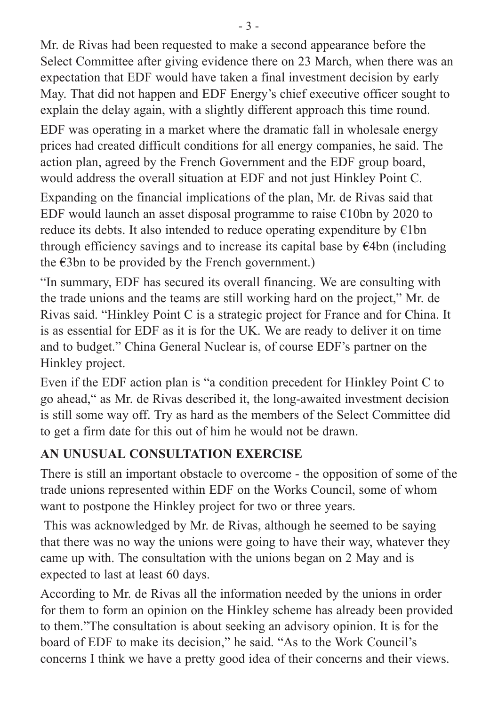Mr. de Rivas had been requested to make a second appearance before the Select Committee after giving evidence there on 23 March, when there was an expectation that EDF would have taken a final investment decision by early May. That did not happen and EDF Energy's chief executive officer sought to explain the delay again, with a slightly different approach this time round.

EDF was operating in a market where the dramatic fall in wholesale energy prices had created difficult conditions for all energy companies, he said. The action plan, agreed by the French Government and the EDF group board, would address the overall situation at EDF and not just Hinkley Point C.

Expanding on the financial implications of the plan, Mr. de Rivas said that EDF would launch an asset disposal programme to raise  $\epsilon$ 10bn by 2020 to reduce its debts. It also intended to reduce operating expenditure by  $E1bn$ through efficiency savings and to increase its capital base by  $\epsilon$ 4bn (including the  $\epsilon$ 3bn to be provided by the French government.)

"In summary, EDF has secured its overall financing. We are consulting with the trade unions and the teams are still working hard on the project," Mr. de Rivas said. "Hinkley Point C is a strategic project for France and for China. It is as essential for EDF as it is for the UK. We are ready to deliver it on time and to budget." China General Nuclear is, of course EDF's partner on the Hinkley project.

Even if the EDF action plan is "a condition precedent for Hinkley Point C to go ahead," as Mr. de Rivas described it, the long-awaited investment decision is still some way off. Try as hard as the members of the Select Committee did to get a firm date for this out of him he would not be drawn.

#### **AN UNUSUAL CONSULTATION EXERCISE**

There is still an important obstacle to overcome - the opposition of some of the trade unions represented within EDF on the Works Council, some of whom want to postpone the Hinkley project for two or three years.

This was acknowledged by Mr. de Rivas, although he seemed to be saying that there was no way the unions were going to have their way, whatever they came up with. The consultation with the unions began on 2 May and is expected to last at least 60 days.

According to Mr. de Rivas all the information needed by the unions in order for them to form an opinion on the Hinkley scheme has already been provided to them."The consultation is about seeking an advisory opinion. It is for the board of EDF to make its decision," he said. "As to the Work Council's concerns I think we have a pretty good idea of their concerns and their views.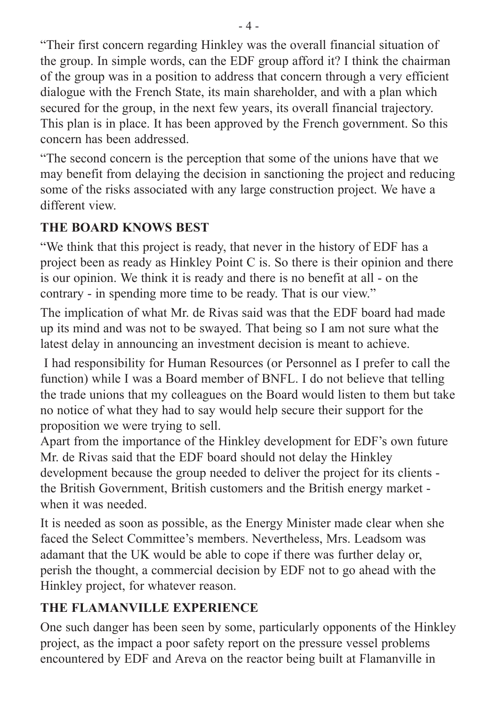"Their first concern regarding Hinkley was the overall financial situation of the group. In simple words, can the EDF group afford it? I think the chairman of the group was in a position to address that concern through a very efficient dialogue with the French State, its main shareholder, and with a plan which secured for the group, in the next few years, its overall financial trajectory. This plan is in place. It has been approved by the French government. So this concern has been addressed.

"The second concern is the perception that some of the unions have that we may benefit from delaying the decision in sanctioning the project and reducing some of the risks associated with any large construction project. We have a different view.

#### **THE BOARD KNOWS BEST**

"We think that this project is ready, that never in the history of EDF has a project been as ready as Hinkley Point C is. So there is their opinion and there is our opinion. We think it is ready and there is no benefit at all - on the contrary - in spending more time to be ready. That is our view."

The implication of what Mr. de Rivas said was that the EDF board had made up its mind and was not to be swayed. That being so I am not sure what the latest delay in announcing an investment decision is meant to achieve.

I had responsibility for Human Resources (or Personnel as I prefer to call the function) while I was a Board member of BNFL. I do not believe that telling the trade unions that my colleagues on the Board would listen to them but take no notice of what they had to say would help secure their support for the proposition we were trying to sell.

Apart from the importance of the Hinkley development for EDF's own future Mr. de Rivas said that the EDF board should not delay the Hinkley development because the group needed to deliver the project for its clients the British Government, British customers and the British energy market when it was needed.

It is needed as soon as possible, as the Energy Minister made clear when she faced the Select Committee's members. Nevertheless, Mrs. Leadsom was adamant that the UK would be able to cope if there was further delay or, perish the thought, a commercial decision by EDF not to go ahead with the Hinkley project, for whatever reason.

#### **THE FLAMANVILLE EXPERIENCE**

One such danger has been seen by some, particularly opponents of the Hinkley project, as the impact a poor safety report on the pressure vessel problems encountered by EDF and Areva on the reactor being built at Flamanville in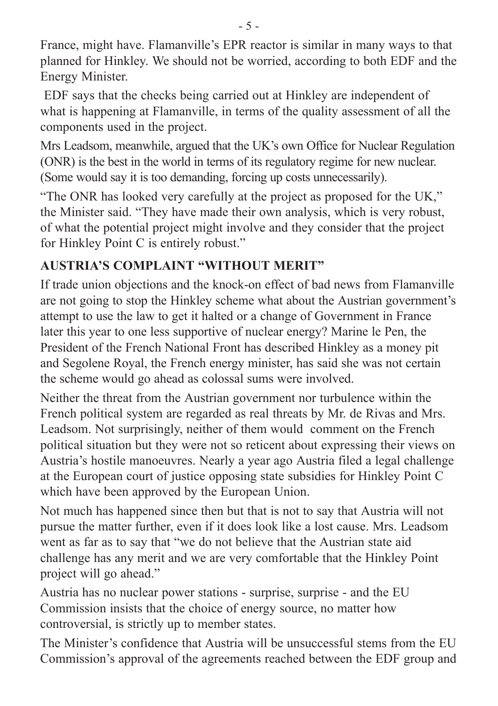France, might have. Flamanville's EPR reactor is similar in many ways to that planned for Hinkley. We should not be worried, according to both EDF and the Energy Minister.

EDF says that the checks being carried out at Hinkley are independent of what is happening at Flamanville, in terms of the quality assessment of all the components used in the project.

Mrs Leadsom, meanwhile, argued that the UK's own Office for Nuclear Regulation (ONR) is the best in the world in terms of its regulatory regime for new nuclear. (Some would say it is too demanding, forcing up costs unnecessarily).

"The ONR has looked very carefully at the project as proposed for the UK," the Minister said. "They have made their own analysis, which is very robust, of what the potential project might involve and they consider that the project for Hinkley Point C is entirely robust."

### **AUSTRIA'S COMPLAINT "WITHOUT MERIT"**

If trade union objections and the knock-on effect of bad news from Flamanville are not going to stop the Hinkley scheme what about the Austrian government's attempt to use the law to get it halted or a change of Government in France later this year to one less supportive of nuclear energy? Marine le Pen, the President of the French National Front has described Hinkley as a money pit and Segolene Royal, the French energy minister, has said she was not certain the scheme would go ahead as colossal sums were involved.

Neither the threat from the Austrian government nor turbulence within the French political system are regarded as real threats by Mr. de Rivas and Mrs. Leadsom. Not surprisingly, neither of them would comment on the French political situation but they were not so reticent about expressing their views on Austria's hostile manoeuvres. Nearly a year ago Austria filed a legal challenge at the European court of justice opposing state subsidies for Hinkley Point C which have been approved by the European Union.

Not much has happened since then but that is not to say that Austria will not pursue the matter further, even if it does look like a lost cause. Mrs. Leadsom went as far as to say that "we do not believe that the Austrian state aid challenge has any merit and we are very comfortable that the Hinkley Point project will go ahead."

Austria has no nuclear power stations - surprise, surprise - and the EU Commission insists that the choice of energy source, no matter how controversial, is strictly up to member states.

The Minister's confidence that Austria will be unsuccessful stems from the EU Commission's approval of the agreements reached between the EDF group and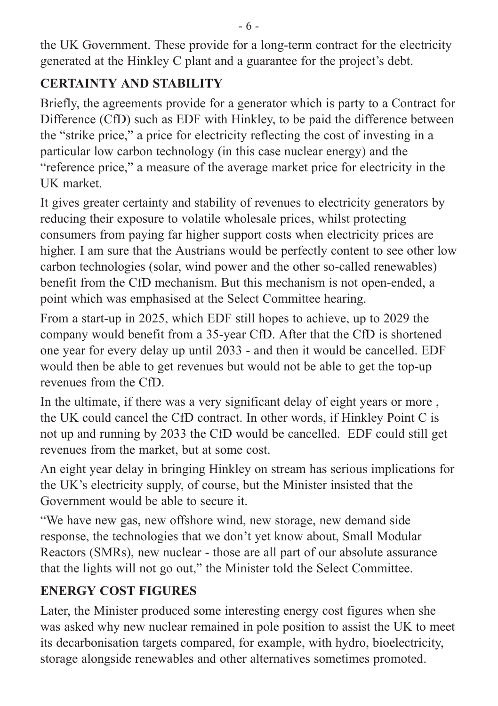the UK Government. These provide for a long-term contract for the electricity generated at the Hinkley C plant and a guarantee for the project's debt.

## **CERTAINTY AND STABILITY**

Briefly, the agreements provide for a generator which is party to a Contract for Difference (CfD) such as EDF with Hinkley, to be paid the difference between the "strike price," a price for electricity reflecting the cost of investing in a particular low carbon technology (in this case nuclear energy) and the "reference price," a measure of the average market price for electricity in the UK market.

It gives greater certainty and stability of revenues to electricity generators by reducing their exposure to volatile wholesale prices, whilst protecting consumers from paying far higher support costs when electricity prices are higher. I am sure that the Austrians would be perfectly content to see other low carbon technologies (solar, wind power and the other so-called renewables) benefit from the CfD mechanism. But this mechanism is not open-ended, a point which was emphasised at the Select Committee hearing.

From a start-up in 2025, which EDF still hopes to achieve, up to 2029 the company would benefit from a 35-year CfD. After that the CfD is shortened one year for every delay up until 2033 - and then it would be cancelled. EDF would then be able to get revenues but would not be able to get the top-up revenues from the CfD.

In the ultimate, if there was a very significant delay of eight years or more, the UK could cancel the CfD contract. In other words, if Hinkley Point C is not up and running by 2033 the CfD would be cancelled. EDF could still get revenues from the market, but at some cost.

An eight year delay in bringing Hinkley on stream has serious implications for the UK's electricity supply, of course, but the Minister insisted that the Government would be able to secure it.

"We have new gas, new offshore wind, new storage, new demand side response, the technologies that we don't yet know about, Small Modular Reactors (SMRs), new nuclear - those are all part of our absolute assurance that the lights will not go out," the Minister told the Select Committee.

# **ENERGY COST FIGURES**

Later, the Minister produced some interesting energy cost figures when she was asked why new nuclear remained in pole position to assist the UK to meet its decarbonisation targets compared, for example, with hydro, bioelectricity, storage alongside renewables and other alternatives sometimes promoted.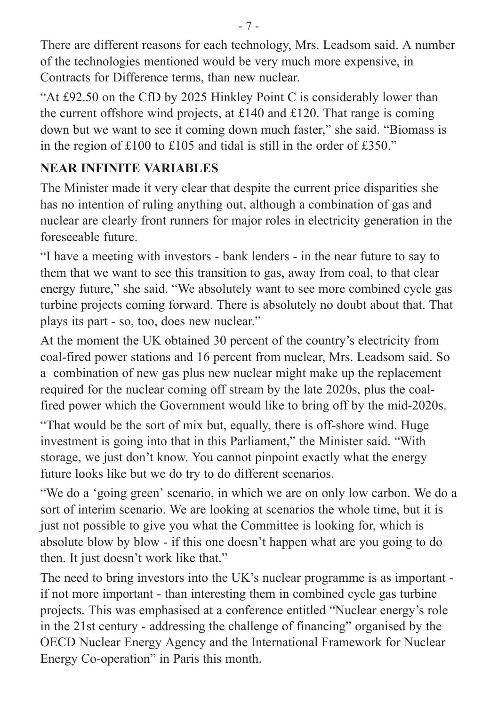There are different reasons for each technology, Mrs. Leadsom said. A number of the technologies mentioned would be very much more expensive, in Contracts for Difference terms, than new nuclear.

"At £92.50 on the CfD by 2025 Hinkley Point C is considerably lower than the current offshore wind projects, at £140 and £120. That range is coming down but we want to see it coming down much faster," she said. "Biomass is in the region of £100 to £105 and tidal is still in the order of £350."

#### **NEAR INFINITE VARIABLES**

The Minister made it very clear that despite the current price disparities she has no intention of ruling anything out, although a combination of gas and nuclear are clearly front runners for major roles in electricity generation in the foreseeable future.

"I have a meeting with investors - bank lenders - in the near future to say to them that we want to see this transition to gas, away from coal, to that clear energy future," she said. "We absolutely want to see more combined cycle gas turbine projects coming forward. There is absolutely no doubt about that. That plays its part - so, too, does new nuclear."

At the moment the UK obtained 30 percent of the country's electricity from coal-fired power stations and 16 percent from nuclear, Mrs. Leadsom said. So a combination of new gas plus new nuclear might make up the replacement required for the nuclear coming off stream by the late 2020s, plus the coalfired power which the Government would like to bring off by the mid-2020s.

"That would be the sort of mix but, equally, there is off-shore wind. Huge investment is going into that in this Parliament," the Minister said. "With storage, we just don't know. You cannot pinpoint exactly what the energy future looks like but we do try to do different scenarios.

"We do a 'going green' scenario, in which we are on only low carbon. We do a sort of interim scenario. We are looking at scenarios the whole time, but it is just not possible to give you what the Committee is looking for, which is absolute blow by blow - if this one doesn't happen what are you going to do then. It just doesn't work like that."

The need to bring investors into the UK's nuclear programme is as important if not more important - than interesting them in combined cycle gas turbine projects. This was emphasised at a conference entitled "Nuclear energy's role in the 21st century - addressing the challenge of financing" organised by the OECD Nuclear Energy Agency and the International Framework for Nuclear Energy Co-operation" in Paris this month.